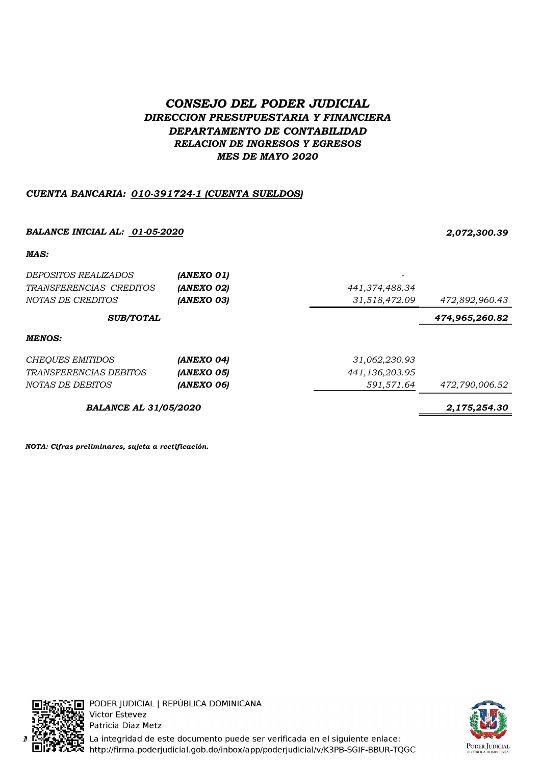# CONSEJO DEL PODER JUDICIAL DIRECCION PRESUPUESTARIA Y FINANCIERA DEPARTAMENTO DE CONTABILIDAD RELACION DE INGRESOS Y EGRESOS MES DE MAYO 2020

## CUENTA BANCARIA: 010-391724-1 (CUENTA SUELDOS)

# BALANCE INICIAL AL: 01-05-2020 2,072,300.39 MAS: DEPOSITOS REALIZADOS (ANEXO 01) TRANSFERENCIAS CREDITOS (ANEXO 02) 441,374,488.34 NOTAS DE CREDITOS **(ANEXO 03) ANEXO 03 472,892,960.43 472,892**,960.43 474,965,260.82 MENOS: CHEQUES EMITIDOS **(ANEXO 04)** 31,062,230.93 TRANSFERENCIAS DEBITOS (ANEXO 05) 441,136,203.95 NOTAS DE DEBITOS **(ANEXO 06) (ANEXO 06)** 591,571.64 472,790,006.52 BALANCE AL 31/05/2020 2,175,254.30 SUB/TOTAL

NOTA: Cifras preliminares, sujeta a rectificación.





PODER JUDICIAL | REPÚBLICA DOMINICANA Victor Estevez Patricia Diaz Metz La integridad de este documento puede ser verificada en el siguiente enlace: http://firma.poderjudicial.gob.do/inbox/app/poderjudicial/v/K3PB-SGIF-BBUR-TQGC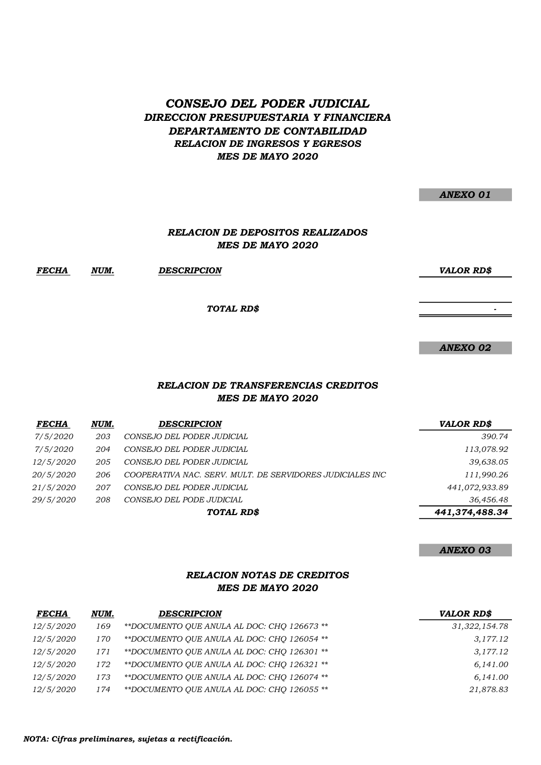# CONSEJO DEL PODER JUDICIAL DIRECCION PRESUPUESTARIA Y FINANCIERA DEPARTAMENTO DE CONTABILIDAD RELACION DE INGRESOS Y EGRESOS MES DE MAYO 2020

|                                         | <b>ANEXO 01</b>   |
|-----------------------------------------|-------------------|
|                                         |                   |
| <b>RELACION DE DEPOSITOS REALIZADOS</b> |                   |
| <b>MES DE MAYO 2020</b>                 |                   |
| ESCRIPCION                              | <b>VALOR RD\$</b> |
| TOTAL RD\$                              |                   |
|                                         |                   |
|                                         | <b>ANEXO 02</b>   |

#### MES DE MAYO 2020 RELACION DE TRANSFERENCIAS CREDITOS

| <b>FECHA</b>     | NUM. | <b>DESCRIPCION</b>                                        | <b>VALOR RD\$</b> |
|------------------|------|-----------------------------------------------------------|-------------------|
| 7/5/2020         | 203  | CONSEJO DEL PODER JUDICIAL                                | 390.74            |
| 7/5/2020         | 204  | CONSEJO DEL PODER JUDICIAL                                | 113,078.92        |
| 12/5/2020        | 205  | CONSEJO DEL PODER JUDICIAL                                | 39,638.05         |
| <i>20/5/2020</i> | 206  | COOPERATIVA NAC. SERV. MULT. DE SERVIDORES JUDICIALES INC | 111,990.26        |
| <i>21/5/2020</i> | 207  | CONSEJO DEL PODER JUDICIAL                                | 441,072,933.89    |
| 29/5/2020        | 208  | CONSEJO DEL PODE JUDICIAL                                 | 36,456.48         |
|                  |      | TOTAL RD\$                                                | 441,374,488.34    |

ANEXO 03

### RELACION NOTAS DE CREDITOS MES DE MAYO 2020

| <b>FECHA</b>     | NUM. | <b>DESCRIPCION</b>                          | <b>VALOR RDS</b> |  |
|------------------|------|---------------------------------------------|------------------|--|
| <i>12/5/2020</i> | 169  | **DOCUMENTO OUE ANULA AL DOC: CHO 126673 ** | 31, 322, 154.78  |  |
| <i>12/5/2020</i> | 170  | **DOCUMENTO OUE ANULA AL DOC: CHO 126054 ** | 3,177.12         |  |
| <i>12/5/2020</i> | 171  | **DOCUMENTO OUE ANULA AL DOC: CHO 126301 ** | 3,177.12         |  |
| <i>12/5/2020</i> | 172  | **DOCUMENTO OUE ANULA AL DOC: CHO 126321 ** | 6,141.00         |  |
| 12/5/2020        | 173  | **DOCUMENTO OUE ANULA AL DOC: CHO 126074 ** | 6.141.00         |  |
| <i>12/5/2020</i> | 174  | **DOCUMENTO OUE ANULA AL DOC: CHO 126055 ** | 21,878.83        |  |

FECHA NUM. DESCRIPCION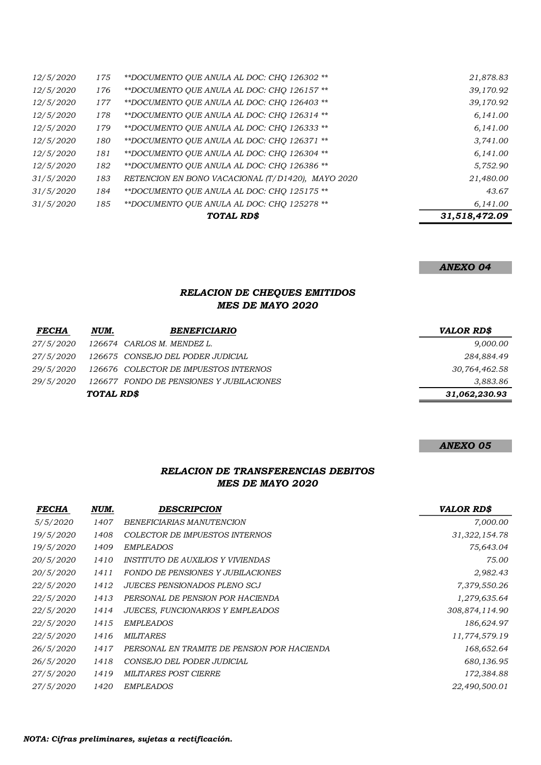|                  |     | TOTAL RD\$                                        | 31,518,472.09 |
|------------------|-----|---------------------------------------------------|---------------|
| 31/5/2020        | 185 | **DOCUMENTO OUE ANULA AL DOC: CHO 125278 **       | 6,141.00      |
| 31/5/2020        | 184 | **DOCUMENTO QUE ANULA AL DOC: CHO 125175 **       | 43.67         |
| 31/5/2020        | 183 | RETENCION EN BONO VACACIONAL (T/D1420), MAYO 2020 | 21,480.00     |
| <i>12/5/2020</i> | 182 | **DOCUMENTO OUE ANULA AL DOC: CHO 126386 **       | 5,752.90      |
| <i>12/5/2020</i> | 181 | **DOCUMENTO OUE ANULA AL DOC: CHO 126304 **       | 6,141.00      |
| <i>12/5/2020</i> | 180 | **DOCUMENTO OUE ANULA AL DOC: CHO 126371 **       | 3,741.00      |
| <i>12/5/2020</i> | 179 | **DOCUMENTO QUE ANULA AL DOC: CHO 126333 **       | 6,141.00      |
| 12/5/2020        | 178 | **DOCUMENTO QUE ANULA AL DOC: CHO 126314 **       | 6,141.00      |
| 12/5/2020        | 177 | **DOCUMENTO OUE ANULA AL DOC: CHO 126403 **       | 39,170.92     |
| <i>12/5/2020</i> | 176 | **DOCUMENTO OUE ANULA AL DOC: CHO 126157 **       | 39,170.92     |
| <i>12/5/2020</i> | 175 | **DOCUMENTO QUE ANULA AL DOC: CHO 126302 **       | 21,878.83     |

ANEXO 04

#### RELACION DE CHEQUES EMITIDOS MES DE MAYO 2020

| <b>FECHA</b>     | NUM.             | <b>BENEFICIARIO</b>                      | <b>VALOR RDS</b> |
|------------------|------------------|------------------------------------------|------------------|
| <i>27/5/2020</i> |                  | 126674 CARLOS M. MENDEZ L.               | 9,000.00         |
| <i>27/5/2020</i> |                  | 126675 CONSEJO DEL PODER JUDICIAL        | 284,884.49       |
| <i>29/5/2020</i> |                  | 126676 COLECTOR DE IMPUESTOS INTERNOS    | 30,764,462.58    |
| <i>29/5/2020</i> |                  | 126677 FONDO DE PENSIONES Y JUBILACIONES | 3,883.86         |
|                  | <b>TOTAL RDS</b> |                                          | 31,062,230.93    |

#### ANEXO 05

## RELACION DE TRANSFERENCIAS DEBITOS MES DE MAYO 2020

| <b>FECHA</b>     | NUM. | <b>DESCRIPCION</b>                              | <b>VALOR RD\$</b> |
|------------------|------|-------------------------------------------------|-------------------|
| 5/5/2020         | 1407 | BENEFICIARIAS MANUTENCION                       | 7,000.00          |
| 19/5/2020        | 1408 | COLECTOR DE IMPUESTOS INTERNOS                  | 31, 322, 154.78   |
| 19/5/2020        | 1409 | <b>EMPLEADOS</b>                                | 75,643.04         |
| 20/5/2020        | 1410 | <i><b>INSTITUTO DE AUXILIOS Y VIVIENDAS</b></i> | 75.00             |
| 20/5/2020        | 1411 | FONDO DE PENSIONES Y JUBILACIONES               | 2,982.43          |
| <i>22/5/2020</i> | 1412 | <b>JUECES PENSIONADOS PLENO SCJ</b>             | 7,379,550.26      |
| <i>22/5/2020</i> | 1413 | PERSONAL DE PENSION POR HACIENDA                | 1,279,635.64      |
| <i>22/5/2020</i> | 1414 | <b>JUECES, FUNCIONARIOS Y EMPLEADOS</b>         | 308,874,114.90    |
| 22/5/2020        | 1415 | <b>EMPLEADOS</b>                                | 186,624.97        |
| <i>22/5/2020</i> | 1416 | <b>MILITARES</b>                                | 11,774,579.19     |
| 26/5/2020        | 1417 | PERSONAL EN TRAMITE DE PENSION POR HACIENDA     | 168,652.64        |
| 26/5/2020        | 1418 | CONSEJO DEL PODER JUDICIAL                      | 680,136.95        |
| <i>27/5/2020</i> | 1419 | MILITARES POST CIERRE                           | 172,384.88        |
| 27/5/2020        | 1420 | <b>EMPLEADOS</b>                                | 22,490,500.01     |
|                  |      |                                                 |                   |